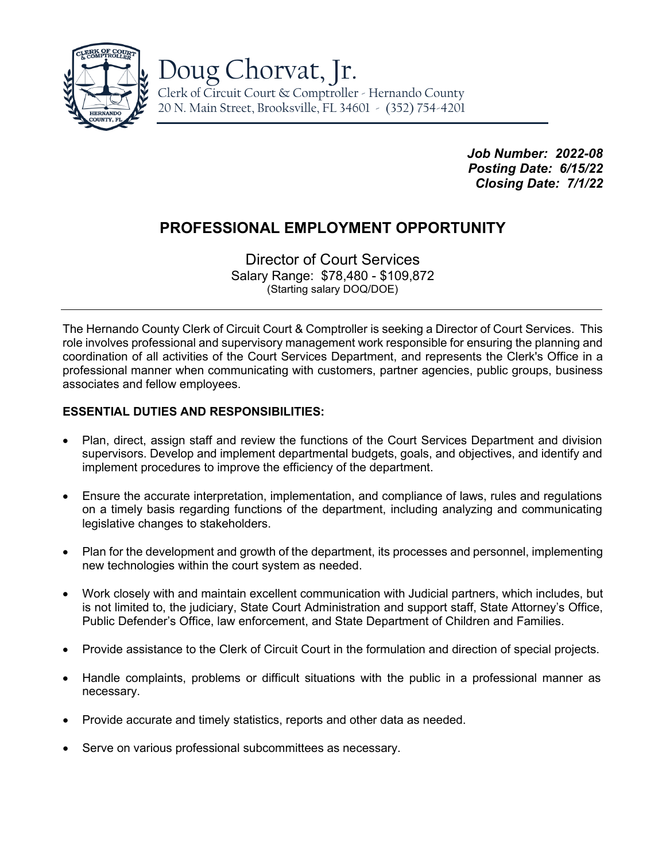

*Job Number: 2022-08 Posting Date: 6/15/22 Closing Date: 7/1/22*

# **PROFESSIONAL EMPLOYMENT OPPORTUNITY**

Director of Court Services Salary Range: \$78,480 - \$109,872 (Starting salary DOQ/DOE)

The Hernando County Clerk of Circuit Court & Comptroller is seeking a Director of Court Services. This role involves professional and supervisory management work responsible for ensuring the planning and coordination of all activities of the Court Services Department, and represents the Clerk's Office in a professional manner when communicating with customers, partner agencies, public groups, business associates and fellow employees.

# **ESSENTIAL DUTIES AND RESPONSIBILITIES:**

- Plan, direct, assign staff and review the functions of the Court Services Department and division supervisors. Develop and implement departmental budgets, goals, and objectives, and identify and implement procedures to improve the efficiency of the department.
- Ensure the accurate interpretation, implementation, and compliance of laws, rules and regulations on a timely basis regarding functions of the department, including analyzing and communicating legislative changes to stakeholders.
- Plan for the development and growth of the department, its processes and personnel, implementing new technologies within the court system as needed.
- Work closely with and maintain excellent communication with Judicial partners, which includes, but is not limited to, the judiciary, State Court Administration and support staff, State Attorney's Office, Public Defender's Office, law enforcement, and State Department of Children and Families.
- Provide assistance to the Clerk of Circuit Court in the formulation and direction of special projects.
- Handle complaints, problems or difficult situations with the public in a professional manner as necessary.
- Provide accurate and timely statistics, reports and other data as needed.
- Serve on various professional subcommittees as necessary.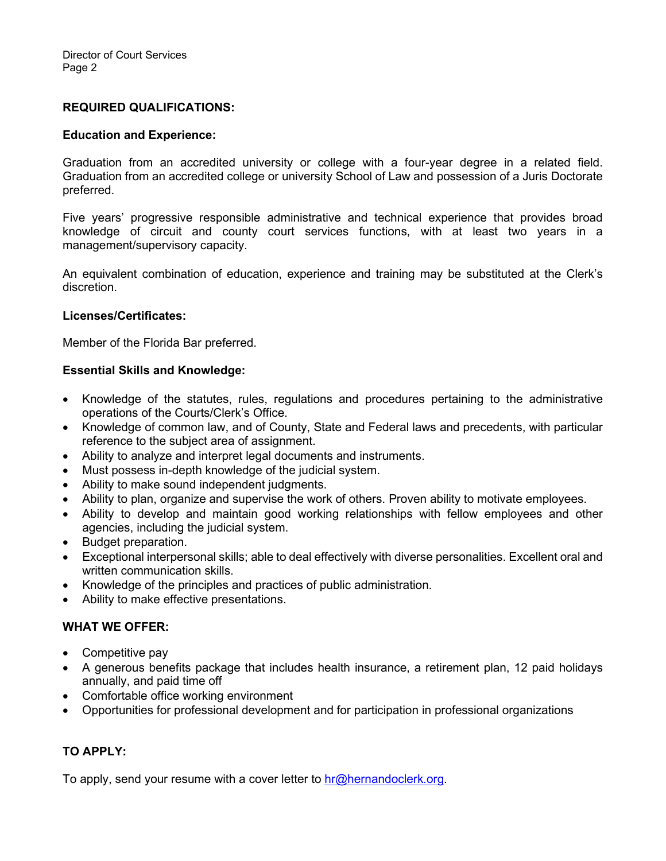#### **REQUIRED QUALIFICATIONS:**

#### **Education and Experience:**

Graduation from an accredited university or college with a four-year degree in a related field. Graduation from an accredited college or university School of Law and possession of a Juris Doctorate preferred.

Five years' progressive responsible administrative and technical experience that provides broad knowledge of circuit and county court services functions, with at least two years in a management/supervisory capacity.

An equivalent combination of education, experience and training may be substituted at the Clerk's discretion.

#### **Licenses/Certificates:**

Member of the Florida Bar preferred.

#### **Essential Skills and Knowledge:**

- Knowledge of the statutes, rules, regulations and procedures pertaining to the administrative operations of the Courts/Clerk's Office.
- Knowledge of common law, and of County, State and Federal laws and precedents, with particular reference to the subject area of assignment.
- Ability to analyze and interpret legal documents and instruments.
- Must possess in-depth knowledge of the judicial system.
- Ability to make sound independent judgments.
- Ability to plan, organize and supervise the work of others. Proven ability to motivate employees.
- Ability to develop and maintain good working relationships with fellow employees and other agencies, including the judicial system.
- Budget preparation.
- Exceptional interpersonal skills; able to deal effectively with diverse personalities. Excellent oral and written communication skills.
- Knowledge of the principles and practices of public administration.
- Ability to make effective presentations.

## **WHAT WE OFFER:**

- Competitive pay
- A generous benefits package that includes health insurance, a retirement plan, 12 paid holidays annually, and paid time off
- Comfortable office working environment
- Opportunities for professional development and for participation in professional organizations

## **TO APPLY:**

To apply, send your resume with a cover letter to  $hr@$  hernandoclerk.org.